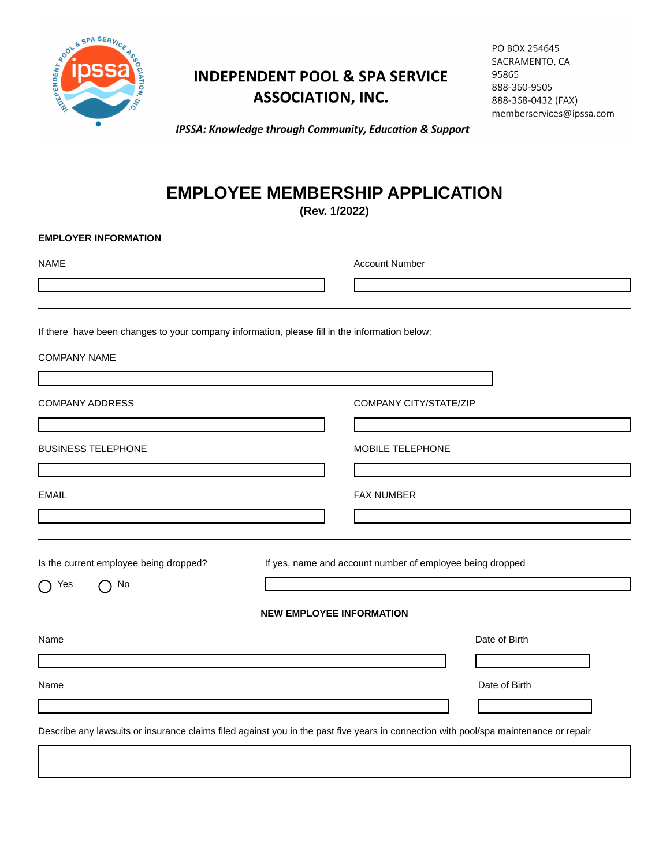

## **INDEPENDENT POOL & SPA SERVICE ASSOCIATION, INC.**

| PO BOX 254645            |
|--------------------------|
| SACRAMENTO, CA           |
| 95865                    |
| 888-360-9505             |
| 888-368-0432 (FAX)       |
| memberservices@ipssa.com |

IPSSA: Knowledge through Community, Education & Support

## **EMPLOYEE MEMBERSHIP APPLICATION**

**(Rev. 1/2022)**

## **EMPLOYER INFORMATION**

| <b>NAME</b>                                                                                                                          | <b>Account Number</b>                                     |  |  |  |
|--------------------------------------------------------------------------------------------------------------------------------------|-----------------------------------------------------------|--|--|--|
|                                                                                                                                      |                                                           |  |  |  |
| If there have been changes to your company information, please fill in the information below:                                        |                                                           |  |  |  |
| <b>COMPANY NAME</b>                                                                                                                  |                                                           |  |  |  |
| <b>COMPANY ADDRESS</b>                                                                                                               | <b>COMPANY CITY/STATE/ZIP</b>                             |  |  |  |
| <u> 1989 - Johann Barn, amerikansk politiker (</u>                                                                                   |                                                           |  |  |  |
| <b>BUSINESS TELEPHONE</b>                                                                                                            | MOBILE TELEPHONE                                          |  |  |  |
|                                                                                                                                      |                                                           |  |  |  |
| <b>EMAIL</b>                                                                                                                         | <b>FAX NUMBER</b>                                         |  |  |  |
|                                                                                                                                      |                                                           |  |  |  |
| Is the current employee being dropped?                                                                                               | If yes, name and account number of employee being dropped |  |  |  |
| No<br>Yes<br>◯                                                                                                                       |                                                           |  |  |  |
|                                                                                                                                      | <b>NEW EMPLOYEE INFORMATION</b>                           |  |  |  |
| Name                                                                                                                                 | Date of Birth                                             |  |  |  |
|                                                                                                                                      |                                                           |  |  |  |
| Name                                                                                                                                 | Date of Birth                                             |  |  |  |
|                                                                                                                                      |                                                           |  |  |  |
| Describe any lawsuits or insurance claims filed against you in the past five years in connection with pool/spa maintenance or repair |                                                           |  |  |  |